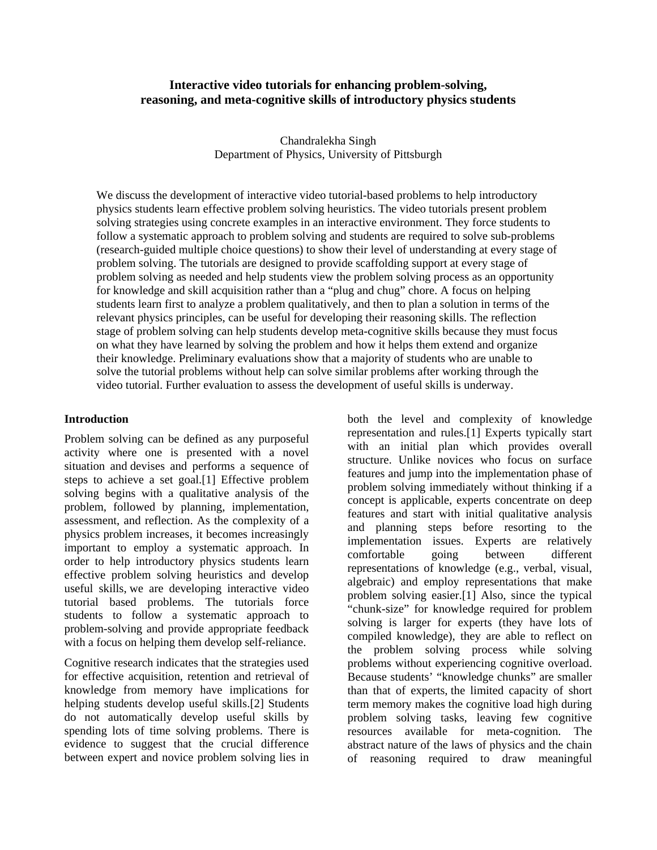# **Interactive video tutorials for enhancing problem-solving, reasoning, and meta-cognitive skills of introductory physics students**

Chandralekha Singh Department of Physics, University of Pittsburgh

We discuss the development of interactive video tutorial-based problems to help introductory physics students learn effective problem solving heuristics. The video tutorials present problem solving strategies using concrete examples in an interactive environment. They force students to follow a systematic approach to problem solving and students are required to solve sub-problems (research-guided multiple choice questions) to show their level of understanding at every stage of problem solving. The tutorials are designed to provide scaffolding support at every stage of problem solving as needed and help students view the problem solving process as an opportunity for knowledge and skill acquisition rather than a "plug and chug" chore. A focus on helping students learn first to analyze a problem qualitatively, and then to plan a solution in terms of the relevant physics principles, can be useful for developing their reasoning skills. The reflection stage of problem solving can help students develop meta-cognitive skills because they must focus on what they have learned by solving the problem and how it helps them extend and organize their knowledge. Preliminary evaluations show that a majority of students who are unable to solve the tutorial problems without help can solve similar problems after working through the video tutorial. Further evaluation to assess the development of useful skills is underway.

#### **Introduction**

Problem solving can be defined as any purposeful activity where one is presented with a novel situation and devises and performs a sequence of steps to achieve a set goal.[1] Effective problem solving begins with a qualitative analysis of the problem, followed by planning, implementation, assessment, and reflection. As the complexity of a physics problem increases, it becomes increasingly important to employ a systematic approach. In order to help introductory physics students learn effective problem solving heuristics and develop useful skills, we are developing interactive video tutorial based problems. The tutorials force students to follow a systematic approach to problem-solving and provide appropriate feedback with a focus on helping them develop self-reliance.

Cognitive research indicates that the strategies used for effective acquisition, retention and retrieval of knowledge from memory have implications for helping students develop useful skills.[2] Students do not automatically develop useful skills by spending lots of time solving problems. There is evidence to suggest that the crucial difference between expert and novice problem solving lies in both the level and complexity of knowledge representation and rules.[1] Experts typically start with an initial plan which provides overall structure. Unlike novices who focus on surface features and jump into the implementation phase of problem solving immediately without thinking if a concept is applicable, experts concentrate on deep features and start with initial qualitative analysis and planning steps before resorting to the implementation issues. Experts are relatively comfortable going between different representations of knowledge (e.g., verbal, visual, algebraic) and employ representations that make problem solving easier.[1] Also, since the typical "chunk-size" for knowledge required for problem solving is larger for experts (they have lots of compiled knowledge), they are able to reflect on the problem solving process while solving problems without experiencing cognitive overload. Because students' "knowledge chunks" are smaller than that of experts, the limited capacity of short term memory makes the cognitive load high during problem solving tasks, leaving few cognitive resources available for meta-cognition. The abstract nature of the laws of physics and the chain of reasoning required to draw meaningful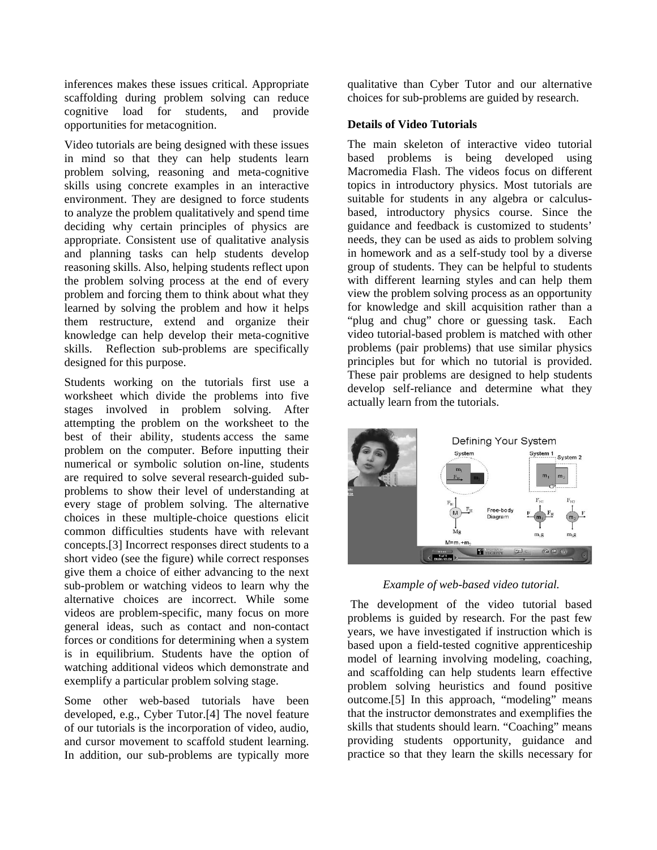inferences makes these issues critical. Appropriate scaffolding during problem solving can reduce cognitive load for students, and provide opportunities for metacognition.

Video tutorials are being designed with these issues in mind so that they can help students learn problem solving, reasoning and meta-cognitive skills using concrete examples in an interactive environment. They are designed to force students to analyze the problem qualitatively and spend time deciding why certain principles of physics are appropriate. Consistent use of qualitative analysis and planning tasks can help students develop reasoning skills. Also, helping students reflect upon the problem solving process at the end of every problem and forcing them to think about what they learned by solving the problem and how it helps them restructure, extend and organize their knowledge can help develop their meta-cognitive skills. Reflection sub-problems are specifically designed for this purpose.

Students working on the tutorials first use a worksheet which divide the problems into five stages involved in problem solving. After attempting the problem on the worksheet to the best of their ability, students access the same problem on the computer. Before inputting their numerical or symbolic solution on-line, students are required to solve several research-guided subproblems to show their level of understanding at every stage of problem solving. The alternative choices in these multiple-choice questions elicit common difficulties students have with relevant concepts.[3] Incorrect responses direct students to a short video (see the figure) while correct responses give them a choice of either advancing to the next sub-problem or watching videos to learn why the alternative choices are incorrect. While some videos are problem-specific, many focus on more general ideas, such as contact and non-contact forces or conditions for determining when a system is in equilibrium. Students have the option of watching additional videos which demonstrate and exemplify a particular problem solving stage.

Some other web-based tutorials have been developed, e.g., Cyber Tutor.[4] The novel feature of our tutorials is the incorporation of video, audio, and cursor movement to scaffold student learning. In addition, our sub-problems are typically more qualitative than Cyber Tutor and our alternative choices for sub-problems are guided by research.

### **Details of Video Tutorials**

The main skeleton of interactive video tutorial based problems is being developed using Macromedia Flash. The videos focus on different topics in introductory physics. Most tutorials are suitable for students in any algebra or calculusbased, introductory physics course. Since the guidance and feedback is customized to students' needs, they can be used as aids to problem solving in homework and as a self-study tool by a diverse group of students. They can be helpful to students with different learning styles and can help them view the problem solving process as an opportunity for knowledge and skill acquisition rather than a "plug and chug" chore or guessing task. Each video tutorial-based problem is matched with other problems (pair problems) that use similar physics principles but for which no tutorial is provided. These pair problems are designed to help students develop self-reliance and determine what they actually learn from the tutorials.



*Example of web-based video tutorial.*

 The development of the video tutorial based problems is guided by research. For the past few years, we have investigated if instruction which is based upon a field-tested cognitive apprenticeship model of learning involving modeling, coaching, and scaffolding can help students learn effective problem solving heuristics and found positive outcome.[5] In this approach, "modeling" means that the instructor demonstrates and exemplifies the skills that students should learn. "Coaching" means providing students opportunity, guidance and practice so that they learn the skills necessary for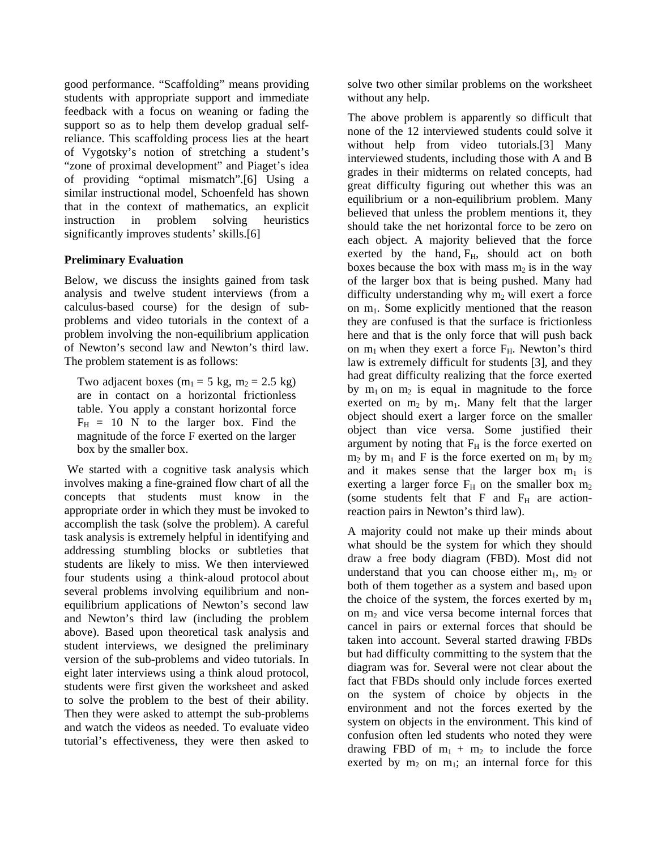good performance. "Scaffolding" means providing students with appropriate support and immediate feedback with a focus on weaning or fading the support so as to help them develop gradual selfreliance. This scaffolding process lies at the heart of Vygotsky's notion of stretching a student's "zone of proximal development" and Piaget's idea of providing "optimal mismatch".[6] Using a similar instructional model, Schoenfeld has shown that in the context of mathematics, an explicit instruction in problem solving heuristics significantly improves students' skills.[6]

## **Preliminary Evaluation**

Below, we discuss the insights gained from task analysis and twelve student interviews (from a calculus-based course) for the design of subproblems and video tutorials in the context of a problem involving the non-equilibrium application of Newton's second law and Newton's third law. The problem statement is as follows:

Two adjacent boxes (m<sub>1</sub> = 5 kg, m<sub>2</sub> = 2.5 kg) are in contact on a horizontal frictionless table. You apply a constant horizontal force  $F_H = 10$  N to the larger box. Find the magnitude of the force F exerted on the larger box by the smaller box.

 We started with a cognitive task analysis which involves making a fine-grained flow chart of all the concepts that students must know in the appropriate order in which they must be invoked to accomplish the task (solve the problem). A careful task analysis is extremely helpful in identifying and addressing stumbling blocks or subtleties that students are likely to miss. We then interviewed four students using a think-aloud protocol about several problems involving equilibrium and nonequilibrium applications of Newton's second law and Newton's third law (including the problem above). Based upon theoretical task analysis and student interviews, we designed the preliminary version of the sub-problems and video tutorials. In eight later interviews using a think aloud protocol, students were first given the worksheet and asked to solve the problem to the best of their ability. Then they were asked to attempt the sub-problems and watch the videos as needed. To evaluate video tutorial's effectiveness, they were then asked to solve two other similar problems on the worksheet without any help.

The above problem is apparently so difficult that none of the 12 interviewed students could solve it without help from video tutorials.[3] Many interviewed students, including those with A and B grades in their midterms on related concepts, had great difficulty figuring out whether this was an equilibrium or a non-equilibrium problem. Many believed that unless the problem mentions it, they should take the net horizontal force to be zero on each object. A majority believed that the force exerted by the hand,  $F_H$ , should act on both boxes because the box with mass  $m_2$  is in the way of the larger box that is being pushed. Many had difficulty understanding why  $m_2$  will exert a force on  $m_1$ . Some explicitly mentioned that the reason they are confused is that the surface is frictionless here and that is the only force that will push back on  $m_1$  when they exert a force  $F_H$ . Newton's third law is extremely difficult for students [3], and they had great difficulty realizing that the force exerted by  $m_1$  on  $m_2$  is equal in magnitude to the force exerted on  $m_2$  by  $m_1$ . Many felt that the larger object should exert a larger force on the smaller object than vice versa. Some justified their argument by noting that  $F_H$  is the force exerted on  $m_2$  by  $m_1$  and F is the force exerted on  $m_1$  by  $m_2$ and it makes sense that the larger box  $m_1$  is exerting a larger force  $F_H$  on the smaller box  $m_2$ (some students felt that  $F$  and  $F_H$  are actionreaction pairs in Newton's third law).

A majority could not make up their minds about what should be the system for which they should draw a free body diagram (FBD). Most did not understand that you can choose either  $m_1$ ,  $m_2$  or both of them together as a system and based upon the choice of the system, the forces exerted by  $m_1$ on  $m_2$  and vice versa become internal forces that cancel in pairs or external forces that should be taken into account. Several started drawing FBDs but had difficulty committing to the system that the diagram was for. Several were not clear about the fact that FBDs should only include forces exerted on the system of choice by objects in the environment and not the forces exerted by the system on objects in the environment. This kind of confusion often led students who noted they were drawing FBD of  $m_1 + m_2$  to include the force exerted by  $m_2$  on  $m_1$ ; an internal force for this